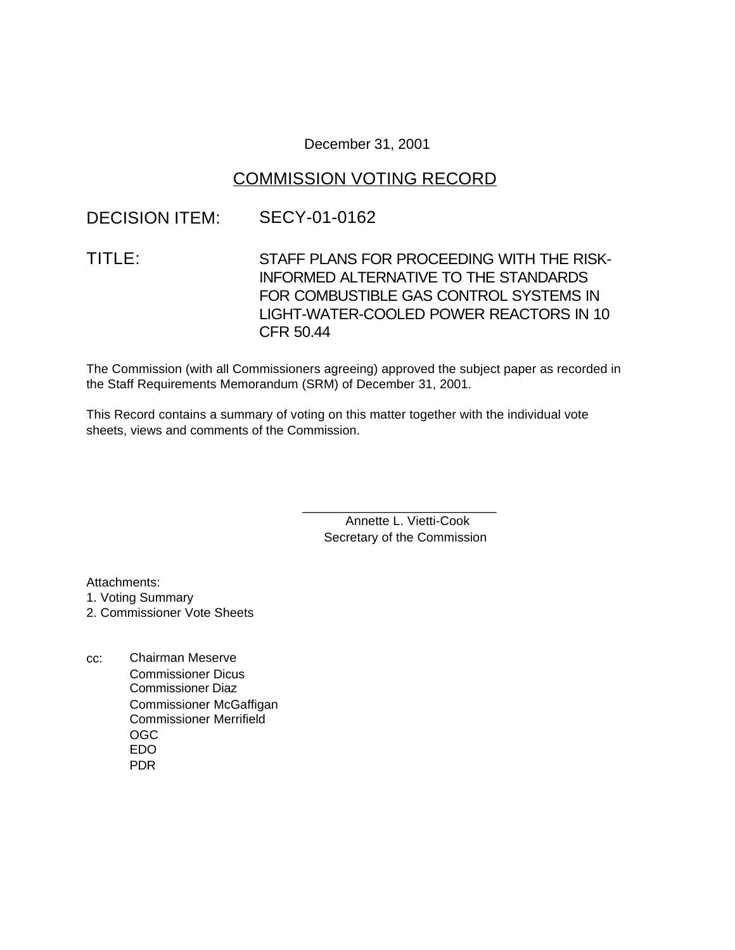### December 31, 2001

## COMMISSION VOTING RECORD

## DECISION ITEM: SECY-01-0162

# TITLE: STAFF PLANS FOR PROCEEDING WITH THE RISK-INFORMED ALTERNATIVE TO THE STANDARDS FOR COMBUSTIBLE GAS CONTROL SYSTEMS IN LIGHT-WATER-COOLED POWER REACTORS IN 10 CFR 50.44

The Commission (with all Commissioners agreeing) approved the subject paper as recorded in the Staff Requirements Memorandum (SRM) of December 31, 2001.

This Record contains a summary of voting on this matter together with the individual vote sheets, views and comments of the Commission.

> Annette L. Vietti-Cook Secretary of the Commission

\_\_\_\_\_\_\_\_\_\_\_\_\_\_\_\_\_\_\_\_\_\_\_\_\_\_\_

Attachments:

1. Voting Summary

2. Commissioner Vote Sheets

cc: Chairman Meserve Commissioner Dicus Commissioner Diaz Commissioner McGaffigan Commissioner Merrifield OGC EDO PDR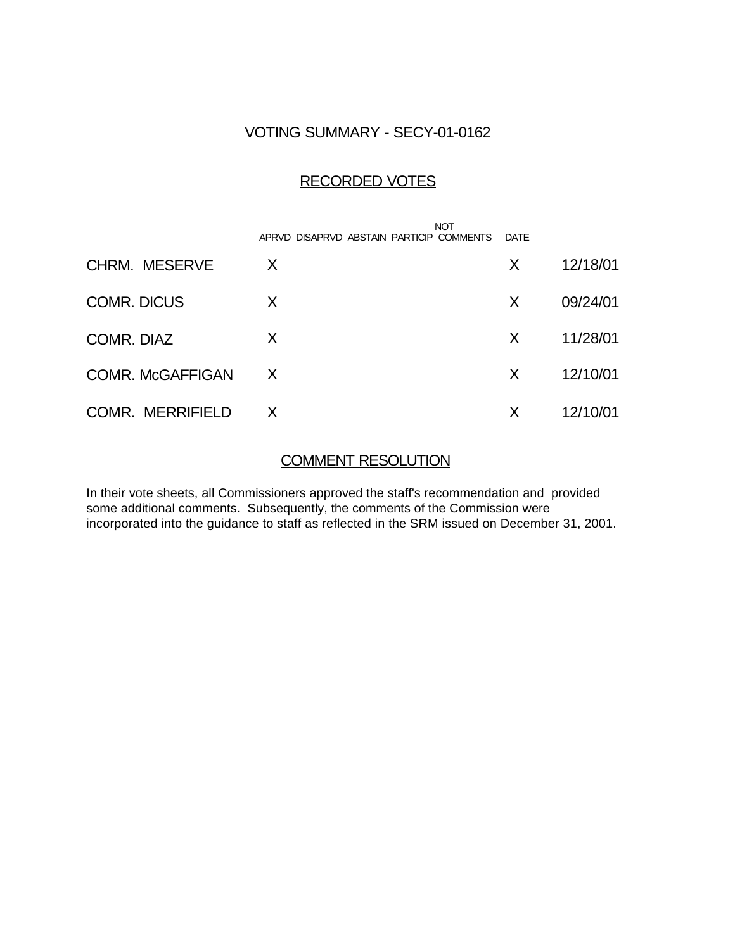### VOTING SUMMARY - SECY-01-0162

## RECORDED VOTES

|                         | <b>NOT</b><br>APRVD DISAPRVD ABSTAIN PARTICIP COMMENTS | DATE |          |
|-------------------------|--------------------------------------------------------|------|----------|
| <b>CHRM. MESERVE</b>    | X                                                      | X    | 12/18/01 |
| <b>COMR. DICUS</b>      | X                                                      | X    | 09/24/01 |
| COMR. DIAZ              | X                                                      | X    | 11/28/01 |
| <b>COMR. McGAFFIGAN</b> | X                                                      | X    | 12/10/01 |
| <b>COMR. MERRIFIELD</b> | X                                                      | X    | 12/10/01 |

### COMMENT RESOLUTION

In their vote sheets, all Commissioners approved the staff's recommendation and provided some additional comments. Subsequently, the comments of the Commission were incorporated into the guidance to staff as reflected in the SRM issued on December 31, 2001.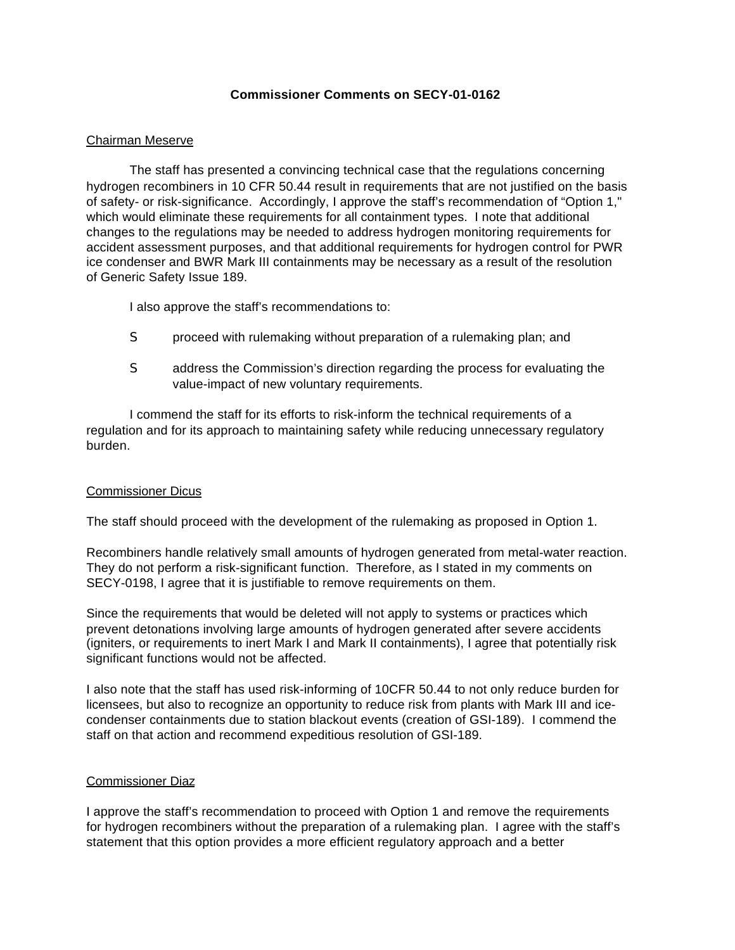### **Commissioner Comments on SECY-01-0162**

#### Chairman Meserve

The staff has presented a convincing technical case that the regulations concerning hydrogen recombiners in 10 CFR 50.44 result in requirements that are not justified on the basis of safety- or risk-significance. Accordingly, I approve the staff's recommendation of "Option 1," which would eliminate these requirements for all containment types. I note that additional changes to the regulations may be needed to address hydrogen monitoring requirements for accident assessment purposes, and that additional requirements for hydrogen control for PWR ice condenser and BWR Mark III containments may be necessary as a result of the resolution of Generic Safety Issue 189.

I also approve the staff's recommendations to:

- S proceed with rulemaking without preparation of a rulemaking plan; and
- S address the Commission's direction regarding the process for evaluating the value-impact of new voluntary requirements.

I commend the staff for its efforts to risk-inform the technical requirements of a regulation and for its approach to maintaining safety while reducing unnecessary regulatory burden.

### Commissioner Dicus

The staff should proceed with the development of the rulemaking as proposed in Option 1.

Recombiners handle relatively small amounts of hydrogen generated from metal-water reaction. They do not perform a risk-significant function. Therefore, as I stated in my comments on SECY-0198, I agree that it is justifiable to remove requirements on them.

Since the requirements that would be deleted will not apply to systems or practices which prevent detonations involving large amounts of hydrogen generated after severe accidents (igniters, or requirements to inert Mark I and Mark II containments), I agree that potentially risk significant functions would not be affected.

I also note that the staff has used risk-informing of 10CFR 50.44 to not only reduce burden for licensees, but also to recognize an opportunity to reduce risk from plants with Mark III and icecondenser containments due to station blackout events (creation of GSI-189). I commend the staff on that action and recommend expeditious resolution of GSI-189.

#### Commissioner Diaz

I approve the staff's recommendation to proceed with Option 1 and remove the requirements for hydrogen recombiners without the preparation of a rulemaking plan. I agree with the staff's statement that this option provides a more efficient regulatory approach and a better